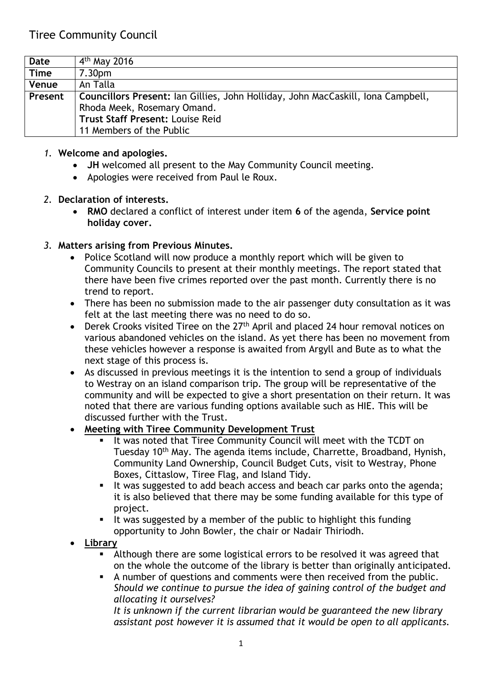| Date        | $4th$ May 2016                                                                   |
|-------------|----------------------------------------------------------------------------------|
| <b>Time</b> | 7.30 <sub>pm</sub>                                                               |
| Venue       | An Talla                                                                         |
| Present     | Councillors Present: Ian Gillies, John Holliday, John MacCaskill, Iona Campbell, |
|             | Rhoda Meek, Rosemary Omand.                                                      |
|             | <b>Trust Staff Present: Louise Reid</b>                                          |
|             | 11 Members of the Public                                                         |

#### *1.* **Welcome and apologies.**

- **JH** welcomed all present to the May Community Council meeting.
- Apologies were received from Paul le Roux.

#### *2.* **Declaration of interests.**

 **RMO** declared a conflict of interest under item **6** of the agenda, **Service point holiday cover.** 

### *3.* **Matters arising from Previous Minutes.**

- Police Scotland will now produce a monthly report which will be given to Community Councils to present at their monthly meetings. The report stated that there have been five crimes reported over the past month. Currently there is no trend to report.
- There has been no submission made to the air passenger duty consultation as it was felt at the last meeting there was no need to do so.
- Derek Crooks visited Tiree on the 27<sup>th</sup> April and placed 24 hour removal notices on various abandoned vehicles on the island. As yet there has been no movement from these vehicles however a response is awaited from Argyll and Bute as to what the next stage of this process is.
- As discussed in previous meetings it is the intention to send a group of individuals to Westray on an island comparison trip. The group will be representative of the community and will be expected to give a short presentation on their return. It was noted that there are various funding options available such as HIE. This will be discussed further with the Trust.

### **Meeting with Tiree Community Development Trust**

- I It was noted that Tiree Community Council will meet with the TCDT on Tuesday 10th May. The agenda items include, Charrette, Broadband, Hynish, Community Land Ownership, Council Budget Cuts, visit to Westray, Phone Boxes, Cittaslow, Tiree Flag, and Island Tidy.
- It was suggested to add beach access and beach car parks onto the agenda; it is also believed that there may be some funding available for this type of project.
- I It was suggested by a member of the public to highlight this funding opportunity to John Bowler, the chair or Nadair Thiriodh.
- **Library**
	- Although there are some logistical errors to be resolved it was agreed that on the whole the outcome of the library is better than originally anticipated.
	- A number of questions and comments were then received from the public. *Should we continue to pursue the idea of gaining control of the budget and allocating it ourselves?*

*It is unknown if the current librarian would be guaranteed the new library assistant post however it is assumed that it would be open to all applicants.*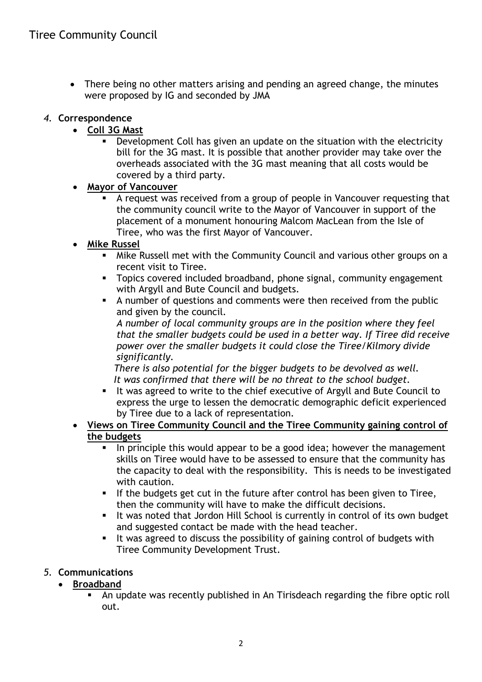There being no other matters arising and pending an agreed change, the minutes were proposed by IG and seconded by JMA

# *4.* **Correspondence**

- **Coll 3G Mast**
	- Development Coll has given an update on the situation with the electricity bill for the 3G mast. It is possible that another provider may take over the overheads associated with the 3G mast meaning that all costs would be covered by a third party.
- **Mayor of Vancouver**
	- A request was received from a group of people in Vancouver requesting that the community council write to the Mayor of Vancouver in support of the placement of a monument honouring Malcom MacLean from the Isle of Tiree, who was the first Mayor of Vancouver.
- **Mike Russel**
	- Mike Russell met with the Community Council and various other groups on a recent visit to Tiree.
	- **Topics covered included broadband, phone signal, community engagement** with Argyll and Bute Council and budgets.
	- A number of questions and comments were then received from the public and given by the council.

*A number of local community groups are in the position where they feel that the smaller budgets could be used in a better way. If Tiree did receive power over the smaller budgets it could close the Tiree/Kilmory divide significantly.* 

 *There is also potential for the bigger budgets to be devolved as well. It was confirmed that there will be no threat to the school budget.*

- It was agreed to write to the chief executive of Argyll and Bute Council to express the urge to lessen the democratic demographic deficit experienced by Tiree due to a lack of representation.
- **Views on Tiree Community Council and the Tiree Community gaining control of the budgets**
	- In principle this would appear to be a good idea; however the management skills on Tiree would have to be assessed to ensure that the community has the capacity to deal with the responsibility. This is needs to be investigated with caution.
	- If the budgets get cut in the future after control has been given to Tiree, then the community will have to make the difficult decisions.
	- It was noted that Jordon Hill School is currently in control of its own budget and suggested contact be made with the head teacher.
	- It was agreed to discuss the possibility of gaining control of budgets with Tiree Community Development Trust.

# *5.* **Communications**

- **Broadband**
	- An update was recently published in An Tirisdeach regarding the fibre optic roll out.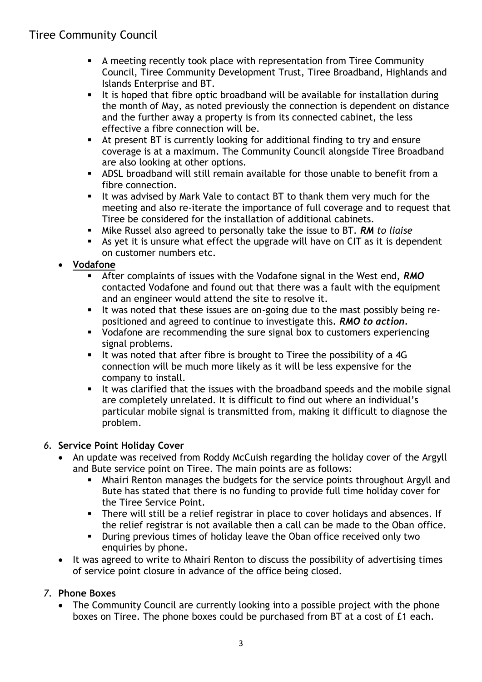# Tiree Community Council

- A meeting recently took place with representation from Tiree Community Council, Tiree Community Development Trust, Tiree Broadband, Highlands and Islands Enterprise and BT.
- It is hoped that fibre optic broadband will be available for installation during the month of May, as noted previously the connection is dependent on distance and the further away a property is from its connected cabinet, the less effective a fibre connection will be.
- At present BT is currently looking for additional finding to try and ensure coverage is at a maximum. The Community Council alongside Tiree Broadband are also looking at other options.
- ADSL broadband will still remain available for those unable to benefit from a fibre connection.
- It was advised by Mark Vale to contact BT to thank them very much for the meeting and also re-iterate the importance of full coverage and to request that Tiree be considered for the installation of additional cabinets.
- Mike Russel also agreed to personally take the issue to BT. *RM to liaise*
- As yet it is unsure what effect the upgrade will have on CIT as it is dependent on customer numbers etc.

## **Vodafone**

- After complaints of issues with the Vodafone signal in the West end, *RMO* contacted Vodafone and found out that there was a fault with the equipment and an engineer would attend the site to resolve it.
- It was noted that these issues are on-going due to the mast possibly being repositioned and agreed to continue to investigate this. *RMO to action.*
- Vodafone are recommending the sure signal box to customers experiencing signal problems.
- It was noted that after fibre is brought to Tiree the possibility of a  $4G$ connection will be much more likely as it will be less expensive for the company to install.
- It was clarified that the issues with the broadband speeds and the mobile signal are completely unrelated. It is difficult to find out where an individual's particular mobile signal is transmitted from, making it difficult to diagnose the problem.

### *6.* **Service Point Holiday Cover**

- An update was received from Roddy McCuish regarding the holiday cover of the Argyll and Bute service point on Tiree. The main points are as follows:
	- Mhairi Renton manages the budgets for the service points throughout Argyll and Bute has stated that there is no funding to provide full time holiday cover for the Tiree Service Point.
	- There will still be a relief registrar in place to cover holidays and absences. If the relief registrar is not available then a call can be made to the Oban office.
	- During previous times of holiday leave the Oban office received only two enquiries by phone.
- It was agreed to write to Mhairi Renton to discuss the possibility of advertising times of service point closure in advance of the office being closed.

# *7.* **Phone Boxes**

• The Community Council are currently looking into a possible project with the phone boxes on Tiree. The phone boxes could be purchased from BT at a cost of £1 each.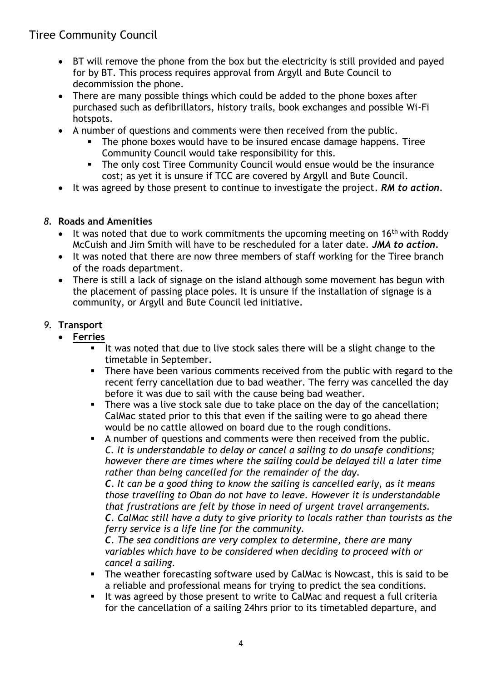# Tiree Community Council

- BT will remove the phone from the box but the electricity is still provided and payed for by BT. This process requires approval from Argyll and Bute Council to decommission the phone.
- There are many possible things which could be added to the phone boxes after purchased such as defibrillators, history trails, book exchanges and possible Wi-Fi hotspots.
- A number of questions and comments were then received from the public.
	- **The phone boxes would have to be insured encase damage happens. Tiree** Community Council would take responsibility for this.
	- **The only cost Tiree Community Council would ensue would be the insurance** cost; as yet it is unsure if TCC are covered by Argyll and Bute Council.
- It was agreed by those present to continue to investigate the project*. RM to action.*

## *8.* **Roads and Amenities**

- It was noted that due to work commitments the upcoming meeting on 16<sup>th</sup> with Roddy McCuish and Jim Smith will have to be rescheduled for a later date. *JMA to action.*
- It was noted that there are now three members of staff working for the Tiree branch of the roads department.
- There is still a lack of signage on the island although some movement has begun with the placement of passing place poles. It is unsure if the installation of signage is a community, or Argyll and Bute Council led initiative.

# *9.* **Transport**

- **Ferries**
	- It was noted that due to live stock sales there will be a slight change to the timetable in September.
	- **There have been various comments received from the public with regard to the** recent ferry cancellation due to bad weather. The ferry was cancelled the day before it was due to sail with the cause being bad weather.
	- **There was a live stock sale due to take place on the day of the cancellation;** CalMac stated prior to this that even if the sailing were to go ahead there would be no cattle allowed on board due to the rough conditions.
	- A number of questions and comments were then received from the public. *C. It is understandable to delay or cancel a sailing to do unsafe conditions; however there are times where the sailing could be delayed till a later time rather than being cancelled for the remainder of the day.*

*C. It can be a good thing to know the sailing is cancelled early, as it means those travelling to Oban do not have to leave. However it is understandable that frustrations are felt by those in need of urgent travel arrangements. C. CalMac still have a duty to give priority to locals rather than tourists as the ferry service is a life line for the community.* 

*C. The sea conditions are very complex to determine, there are many variables which have to be considered when deciding to proceed with or cancel a sailing.*

- The weather forecasting software used by CalMac is Nowcast, this is said to be a reliable and professional means for trying to predict the sea conditions.
- It was agreed by those present to write to CalMac and request a full criteria for the cancellation of a sailing 24hrs prior to its timetabled departure, and